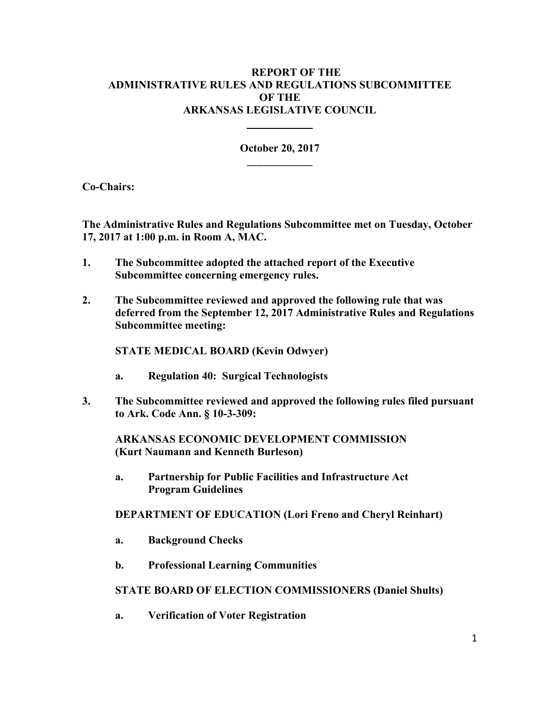# **REPORT OF THE ADMINISTRATIVE RULES AND REGULATIONS SUBCOMMITTEE OF THE ARKANSAS LEGISLATIVE COUNCIL**

**October 20, 2017**  \_\_\_\_\_\_\_\_\_\_\_\_

**Co-Chairs:** 

**The Administrative Rules and Regulations Subcommittee met on Tuesday, October 17, 2017 at 1:00 p.m. in Room A, MAC.** 

**1. The Subcommittee adopted the attached report of the Executive Subcommittee concerning emergency rules.** 

**2. The Subcommittee reviewed and approved the following rule that was deferred from the September 12, 2017 Administrative Rules and Regulations Subcommittee meeting:** 

 **STATE MEDICAL BOARD (Kevin Odwyer)** 

- **a. Regulation 40: Surgical Technologists**
- **3. The Subcommittee reviewed and approved the following rules filed pursuant to Ark. Code Ann. § 10-3-309:**

 **ARKANSAS ECONOMIC DEVELOPMENT COMMISSION (Kurt Naumann and Kenneth Burleson)** 

 **a. Partnership for Public Facilities and Infrastructure Act Program Guidelines** 

 **DEPARTMENT OF EDUCATION (Lori Freno and Cheryl Reinhart)** 

- **a. Background Checks**
- **b. Professional Learning Communities**

## **STATE BOARD OF ELECTION COMMISSIONERS (Daniel Shults)**

 **a. Verification of Voter Registration**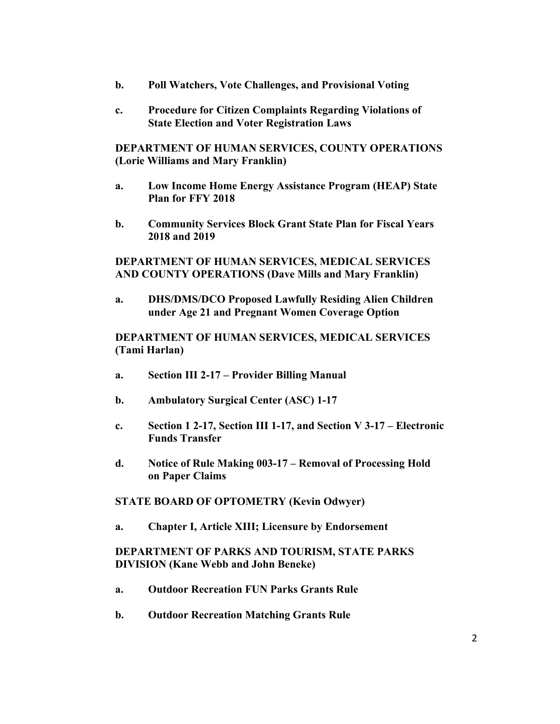- **b. Poll Watchers, Vote Challenges, and Provisional Voting**
- **c. Procedure for Citizen Complaints Regarding Violations of State Election and Voter Registration Laws**

 **DEPARTMENT OF HUMAN SERVICES, COUNTY OPERATIONS (Lorie Williams and Mary Franklin)** 

- **a. Low Income Home Energy Assistance Program (HEAP) State Plan for FFY 2018**
- **b. Community Services Block Grant State Plan for Fiscal Years 2018 and 2019**

## **DEPARTMENT OF HUMAN SERVICES, MEDICAL SERVICES AND COUNTY OPERATIONS (Dave Mills and Mary Franklin)**

 **a. DHS/DMS/DCO Proposed Lawfully Residing Alien Children under Age 21 and Pregnant Women Coverage Option** 

# **DEPARTMENT OF HUMAN SERVICES, MEDICAL SERVICES (Tami Harlan)**

- **a. Section III 2-17 Provider Billing Manual**
- **b. Ambulatory Surgical Center (ASC) 1-17**
- **c. Section 1 2-17, Section III 1-17, and Section V 3-17 Electronic Funds Transfer**
- **d. Notice of Rule Making 003-17 Removal of Processing Hold on Paper Claims**

#### **STATE BOARD OF OPTOMETRY (Kevin Odwyer)**

 **a. Chapter I, Article XIII; Licensure by Endorsement** 

# **DEPARTMENT OF PARKS AND TOURISM, STATE PARKS DIVISION (Kane Webb and John Beneke)**

- **a. Outdoor Recreation FUN Parks Grants Rule**
- **b. Outdoor Recreation Matching Grants Rule**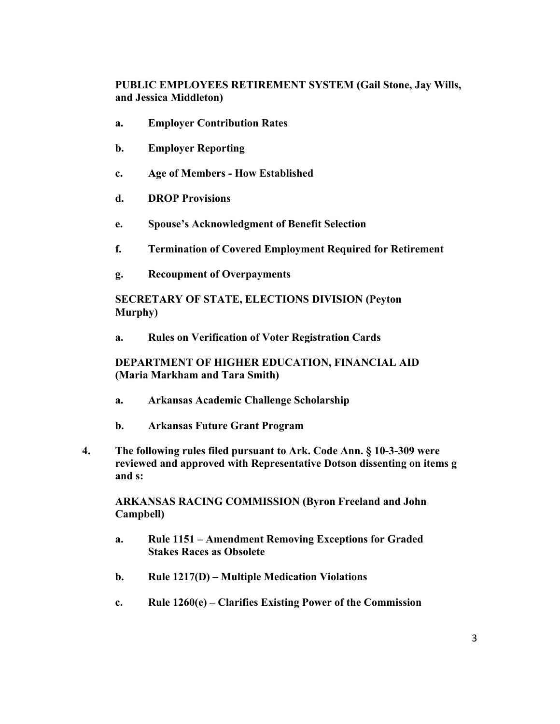# **PUBLIC EMPLOYEES RETIREMENT SYSTEM (Gail Stone, Jay Wills, and Jessica Middleton)**

- **a. Employer Contribution Rates**
- **b. Employer Reporting**
- **c. Age of Members How Established**
- **d. DROP Provisions**
- **e. Spouse's Acknowledgment of Benefit Selection**
- **f. Termination of Covered Employment Required for Retirement**
- **g. Recoupment of Overpayments**

 **SECRETARY OF STATE, ELECTIONS DIVISION (Peyton Murphy)** 

 **a. Rules on Verification of Voter Registration Cards** 

 **DEPARTMENT OF HIGHER EDUCATION, FINANCIAL AID (Maria Markham and Tara Smith)** 

- **a. Arkansas Academic Challenge Scholarship**
- **b. Arkansas Future Grant Program**
- **4. The following rules filed pursuant to Ark. Code Ann. § 10-3-309 were reviewed and approved with Representative Dotson dissenting on items g and s:**

 **ARKANSAS RACING COMMISSION (Byron Freeland and John Campbell)** 

- **a. Rule 1151 Amendment Removing Exceptions for Graded Stakes Races as Obsolete**
- **b. Rule 1217(D) Multiple Medication Violations**
- **c. Rule 1260(e) Clarifies Existing Power of the Commission**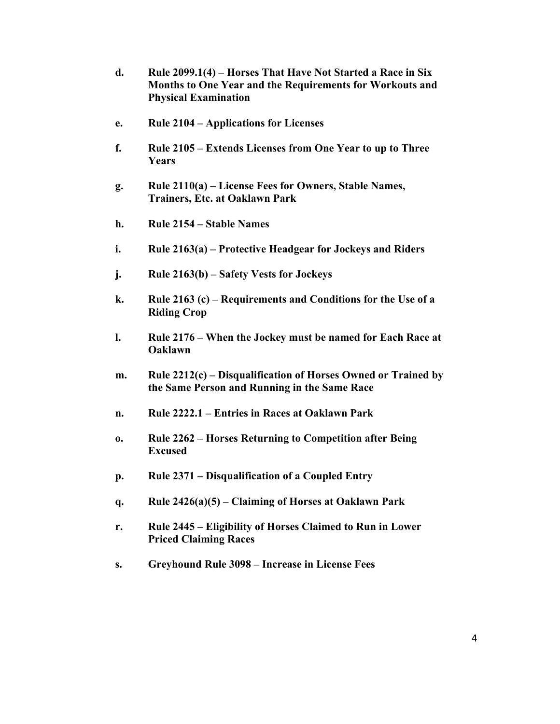- **d. Rule 2099.1(4) Horses That Have Not Started a Race in Six Months to One Year and the Requirements for Workouts and Physical Examination**
- **e. Rule 2104 Applications for Licenses**
- **f. Rule 2105 Extends Licenses from One Year to up to Three Years**
- **g. Rule 2110(a) License Fees for Owners, Stable Names, Trainers, Etc. at Oaklawn Park**
- **h. Rule 2154 Stable Names**
- **i. Rule 2163(a) Protective Headgear for Jockeys and Riders**
- **j. Rule 2163(b) Safety Vests for Jockeys**
- **k. Rule 2163 (c) Requirements and Conditions for the Use of a Riding Crop**
- **l. Rule 2176 When the Jockey must be named for Each Race at Oaklawn**
- **m. Rule 2212(c) Disqualification of Horses Owned or Trained by the Same Person and Running in the Same Race**
- **n. Rule 2222.1 Entries in Races at Oaklawn Park**
- **o. Rule 2262 Horses Returning to Competition after Being Excused**
- **p. Rule 2371 Disqualification of a Coupled Entry**
- **q. Rule 2426(a)(5) Claiming of Horses at Oaklawn Park**
- **r. Rule 2445 Eligibility of Horses Claimed to Run in Lower Priced Claiming Races**
- **s. Greyhound Rule 3098 Increase in License Fees**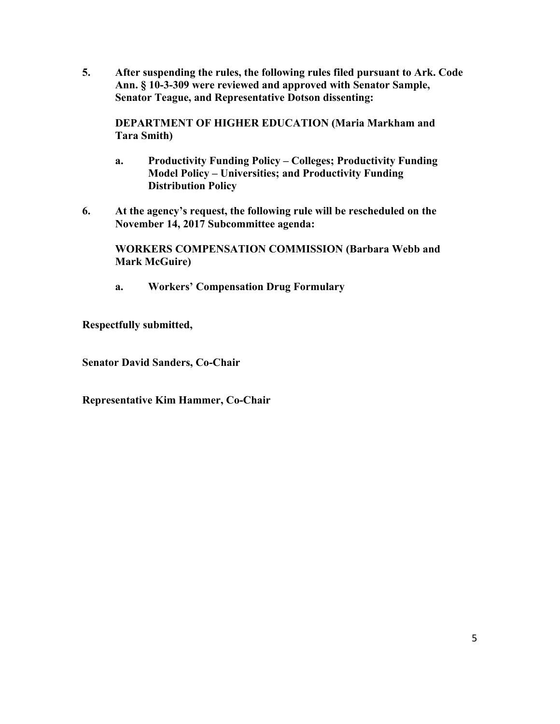**5. After suspending the rules, the following rules filed pursuant to Ark. Code Ann. § 10-3-309 were reviewed and approved with Senator Sample, Senator Teague, and Representative Dotson dissenting:** 

 **DEPARTMENT OF HIGHER EDUCATION (Maria Markham and Tara Smith)** 

- **a. Productivity Funding Policy Colleges; Productivity Funding Model Policy – Universities; and Productivity Funding Distribution Policy**
- **6. At the agency's request, the following rule will be rescheduled on the November 14, 2017 Subcommittee agenda:**

 **WORKERS COMPENSATION COMMISSION (Barbara Webb and Mark McGuire)** 

 **a. Workers' Compensation Drug Formulary** 

**Respectfully submitted,** 

**Senator David Sanders, Co-Chair** 

**Representative Kim Hammer, Co-Chair**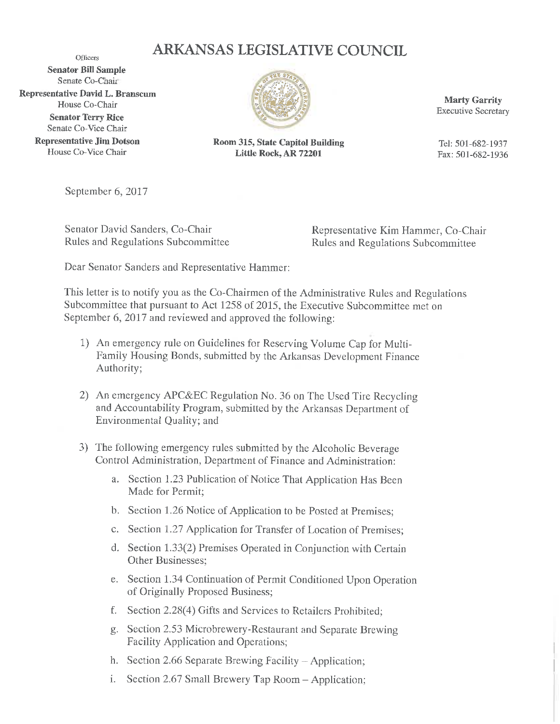# ARKANSAS LEGISLATIVE COUNCIL

Officers **Senator Bill Sample** Senate Co-Chair **Representative David L. Branscum** House Co-Chair **Senator Terry Rice** Senate Co-Vice Chair

> **Representative Jim Dotson** House Co-Vice Chair



**Room 315, State Capitol Building** Little Rock, AR 72201

**Marty Garrity Executive Secretary** 

Tel: 501-682-1937 Fax: 501-682-1936

September 6, 2017

Senator David Sanders, Co-Chair Rules and Regulations Subcommittee

Representative Kim Hammer, Co-Chair **Rules and Regulations Subcommittee** 

Dear Senator Sanders and Representative Hammer:

This letter is to notify you as the Co-Chairmen of the Administrative Rules and Regulations Subcommittee that pursuant to Act 1258 of 2015, the Executive Subcommittee met on September 6, 2017 and reviewed and approved the following:

- 1) An emergency rule on Guidelines for Reserving Volume Cap for Multi-Family Housing Bonds, submitted by the Arkansas Development Finance Authority;
- 2) An emergency APC&EC Regulation No. 36 on The Used Tire Recycling and Accountability Program, submitted by the Arkansas Department of Environmental Quality; and
- 3) The following emergency rules submitted by the Alcoholic Beverage Control Administration, Department of Finance and Administration:
	- a. Section 1.23 Publication of Notice That Application Has Been Made for Permit;
	- b. Section 1.26 Notice of Application to be Posted at Premises;
	- c. Section 1.27 Application for Transfer of Location of Premises;
	- d. Section 1.33(2) Premises Operated in Conjunction with Certain Other Businesses;
	- e. Section 1.34 Continuation of Permit Conditioned Upon Operation of Originally Proposed Business;
	- f. Section 2.28(4) Gifts and Services to Retailers Prohibited;
	- g. Section 2.53 Microbrewery-Restaurant and Separate Brewing Facility Application and Operations;
	- h. Section 2.66 Separate Brewing Facility Application;
	- i. Section 2.67 Small Brewery Tap Room Application;